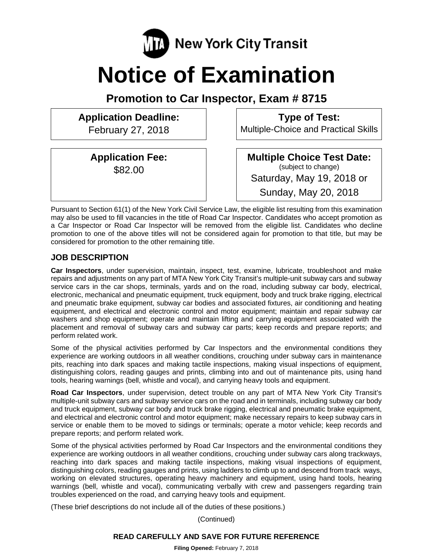

# **Notice of Examination**

**Promotion to Car Inspector, Exam # 8715** 

**Application Deadline:**  February 27, 2018

> **Application Fee:**  \$82.00

**Multiple Choice Test Date:** (subject to change) Saturday, May 19, 2018 or

**Type of Test:**  Multiple-Choice and Practical Skills

Sunday, May 20, 2018

Pursuant to Section 61(1) of the New York Civil Service Law, the eligible list resulting from this examination may also be used to fill vacancies in the title of Road Car Inspector. Candidates who accept promotion as a Car Inspector or Road Car Inspector will be removed from the eligible list. Candidates who decline promotion to one of the above titles will not be considered again for promotion to that title, but may be considered for promotion to the other remaining title.

# **JOB DESCRIPTION**

**Car Inspectors**, under supervision, maintain, inspect, test, examine, lubricate, troubleshoot and make repairs and adjustments on any part of MTA New York City Transit's multiple-unit subway cars and subway service cars in the car shops, terminals, yards and on the road, including subway car body, electrical, electronic, mechanical and pneumatic equipment, truck equipment, body and truck brake rigging, electrical and pneumatic brake equipment, subway car bodies and associated fixtures, air conditioning and heating equipment, and electrical and electronic control and motor equipment; maintain and repair subway car washers and shop equipment; operate and maintain lifting and carrying equipment associated with the placement and removal of subway cars and subway car parts; keep records and prepare reports; and perform related work.

Some of the physical activities performed by Car Inspectors and the environmental conditions they experience are working outdoors in all weather conditions, crouching under subway cars in maintenance pits, reaching into dark spaces and making tactile inspections, making visual inspections of equipment, distinguishing colors, reading gauges and prints, climbing into and out of maintenance pits, using hand tools, hearing warnings (bell, whistle and vocal), and carrying heavy tools and equipment.

**Road Car Inspectors**, under supervision, detect trouble on any part of MTA New York City Transit's multiple-unit subway cars and subway service cars on the road and in terminals, including subway car body and truck equipment, subway car body and truck brake rigging, electrical and pneumatic brake equipment, and electrical and electronic control and motor equipment; make necessary repairs to keep subway cars in service or enable them to be moved to sidings or terminals; operate a motor vehicle; keep records and prepare reports; and perform related work.

Some of the physical activities performed by Road Car Inspectors and the environmental conditions they experience are working outdoors in all weather conditions, crouching under subway cars along trackways, reaching into dark spaces and making tactile inspections, making visual inspections of equipment, distinguishing colors, reading gauges and prints, using ladders to climb up to and descend from track ways, working on elevated structures, operating heavy machinery and equipment, using hand tools, hearing warnings (bell, whistle and vocal), communicating verbally with crew and passengers regarding train troubles experienced on the road, and carrying heavy tools and equipment.

(These brief descriptions do not include all of the duties of these positions.)

(Continued)

## **READ CAREFULLY AND SAVE FOR FUTURE REFERENCE**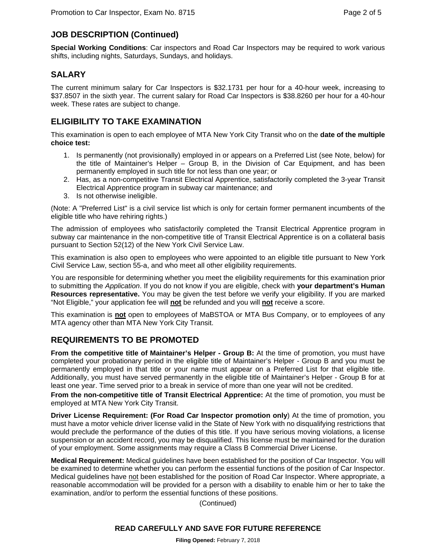# **JOB DESCRIPTION (Continued)**

**Special Working Conditions**: Car inspectors and Road Car Inspectors may be required to work various shifts, including nights, Saturdays, Sundays, and holidays.

## **SALARY**

The current minimum salary for Car Inspectors is \$32.1731 per hour for a 40-hour week, increasing to \$37.8507 in the sixth year. The current salary for Road Car Inspectors is \$38.8260 per hour for a 40-hour week. These rates are subject to change.

## **ELIGIBILITY TO TAKE EXAMINATION**

This examination is open to each employee of MTA New York City Transit who on the **date of the multiple choice test:** 

- 1. Is permanently (not provisionally) employed in or appears on a Preferred List (see Note, below) for the title of Maintainer's Helper – Group B, in the Division of Car Equipment, and has been permanently employed in such title for not less than one year; or
- 2. Has, as a non-competitive Transit Electrical Apprentice, satisfactorily completed the 3-year Transit Electrical Apprentice program in subway car maintenance; and
- 3. Is not otherwise ineligible.

(Note: A "Preferred List" is a civil service list which is only for certain former permanent incumbents of the eligible title who have rehiring rights.)

The admission of employees who satisfactorily completed the Transit Electrical Apprentice program in subway car maintenance in the non-competitive title of Transit Electrical Apprentice is on a collateral basis pursuant to Section 52(12) of the New York Civil Service Law.

This examination is also open to employees who were appointed to an eligible title pursuant to New York Civil Service Law, section 55-a, and who meet all other eligibility requirements.

You are responsible for determining whether you meet the eligibility requirements for this examination prior to submitting the *Application*. If you do not know if you are eligible, check with **your department's Human Resources representative.** You may be given the test before we verify your eligibility. If you are marked "Not Eligible," your application fee will **not** be refunded and you will **not** receive a score.

This examination is **not** open to employees of MaBSTOA or MTA Bus Company, or to employees of any MTA agency other than MTA New York City Transit.

## **REQUIREMENTS TO BE PROMOTED**

**From the competitive title of Maintainer's Helper - Group B:** At the time of promotion, you must have completed your probationary period in the eligible title of Maintainer's Helper - Group B and you must be permanently employed in that title or your name must appear on a Preferred List for that eligible title. Additionally, you must have served permanently in the eligible title of Maintainer's Helper - Group B for at least one year. Time served prior to a break in service of more than one year will not be credited.

**From the non-competitive title of Transit Electrical Apprentice:** At the time of promotion, you must be employed at MTA New York City Transit.

**Driver License Requirement: (For Road Car Inspector promotion only**) At the time of promotion, you must have a motor vehicle driver license valid in the State of New York with no disqualifying restrictions that would preclude the performance of the duties of this title. If you have serious moving violations, a license suspension or an accident record, you may be disqualified. This license must be maintained for the duration of your employment. Some assignments may require a Class B Commercial Driver License.

**Medical Requirement:** Medical guidelines have been established for the position of Car Inspector. You will be examined to determine whether you can perform the essential functions of the position of Car Inspector. Medical guidelines have not been established for the position of Road Car Inspector. Where appropriate, a reasonable accommodation will be provided for a person with a disability to enable him or her to take the examination, and/or to perform the essential functions of these positions.

(Continued)

## **READ CAREFULLY AND SAVE FOR FUTURE REFERENCE**

**Filing Opened:** February 7, 2018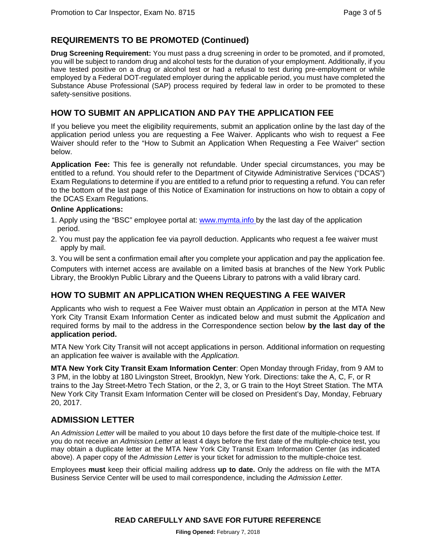# **REQUIREMENTS TO BE PROMOTED (Continued)**

**Drug Screening Requirement:** You must pass a drug screening in order to be promoted, and if promoted, you will be subject to random drug and alcohol tests for the duration of your employment. Additionally, if you have tested positive on a drug or alcohol test or had a refusal to test during pre-employment or while employed by a Federal DOT-regulated employer during the applicable period, you must have completed the Substance Abuse Professional (SAP) process required by federal law in order to be promoted to these safety-sensitive positions.

## **HOW TO SUBMIT AN APPLICATION AND PAY THE APPLICATION FEE**

If you believe you meet the eligibility requirements, submit an application online by the last day of the application period unless you are requesting a Fee Waiver. Applicants who wish to request a Fee Waiver should refer to the "How to Submit an Application When Requesting a Fee Waiver" section below.

**Application Fee:** This fee is generally not refundable. Under special circumstances, you may be entitled to a refund. You should refer to the Department of Citywide Administrative Services ("DCAS") Exam Regulations to determine if you are entitled to a refund prior to requesting a refund. You can refer to the bottom of the last page of this Notice of Examination for instructions on how to obtain a copy of the DCAS Exam Regulations.

#### **Online Applications:**

- 1. Apply using the "BSC" employee portal at: www.mymta.info by the last day of the application period.
- 2. You must pay the application fee via payroll deduction. Applicants who request a fee waiver must apply by mail.
- 3. You will be sent a confirmation email after you complete your application and pay the application fee.

Computers with internet access are available on a limited basis at branches of the New York Public Library, the Brooklyn Public Library and the Queens Library to patrons with a valid library card.

## **HOW TO SUBMIT AN APPLICATION WHEN REQUESTING A FEE WAIVER**

Applicants who wish to request a Fee Waiver must obtain an *Application* in person at the MTA New York City Transit Exam Information Center as indicated below and must submit the *Application* and required forms by mail to the address in the Correspondence section below **by the last day of the application period.**

MTA New York City Transit will not accept applications in person. Additional information on requesting an application fee waiver is available with the *Application.* 

**MTA New York City Transit Exam Information Center**: Open Monday through Friday, from 9 AM to 3 PM, in the lobby at 180 Livingston Street, Brooklyn, New York. Directions: take the A, C, F, or R trains to the Jay Street-Metro Tech Station, or the 2, 3, or G train to the Hoyt Street Station. The MTA New York City Transit Exam Information Center will be closed on President's Day, Monday, February 20, 2017.

## **ADMISSION LETTER**

An *Admission Letter* will be mailed to you about 10 days before the first date of the multiple-choice test. If you do not receive an *Admission Letter* at least 4 days before the first date of the multiple-choice test, you may obtain a duplicate letter at the MTA New York City Transit Exam Information Center (as indicated above). A paper copy of the *Admission Letter* is your ticket for admission to the multiple-choice test.

Employees **must** keep their official mailing address **up to date.** Only the address on file with the MTA Business Service Center will be used to mail correspondence, including the *Admission Letter.*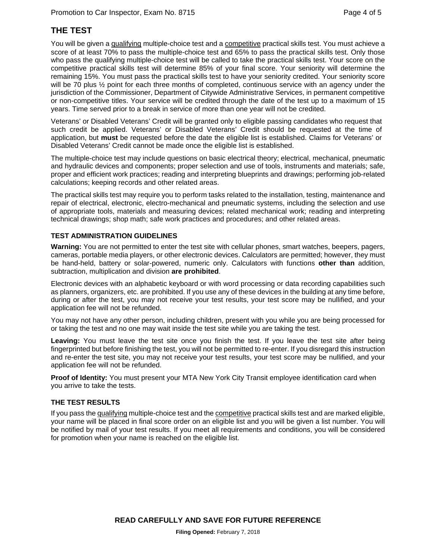# **THE TEST**

You will be given a qualifying multiple-choice test and a competitive practical skills test. You must achieve a score of at least 70% to pass the multiple-choice test and 65% to pass the practical skills test. Only those who pass the qualifying multiple-choice test will be called to take the practical skills test. Your score on the competitive practical skills test will determine 85% of your final score. Your seniority will determine the remaining 15%. You must pass the practical skills test to have your seniority credited. Your seniority score will be 70 plus ½ point for each three months of completed, continuous service with an agency under the jurisdiction of the Commissioner, Department of Citywide Administrative Services, in permanent competitive or non-competitive titles. Your service will be credited through the date of the test up to a maximum of 15 years. Time served prior to a break in service of more than one year will not be credited.

Veterans' or Disabled Veterans' Credit will be granted only to eligible passing candidates who request that such credit be applied. Veterans' or Disabled Veterans' Credit should be requested at the time of application, but **must** be requested before the date the eligible list is established. Claims for Veterans' or Disabled Veterans' Credit cannot be made once the eligible list is established.

The multiple-choice test may include questions on basic electrical theory; electrical, mechanical, pneumatic and hydraulic devices and components; proper selection and use of tools, instruments and materials; safe, proper and efficient work practices; reading and interpreting blueprints and drawings; performing job-related calculations; keeping records and other related areas.

The practical skills test may require you to perform tasks related to the installation, testing, maintenance and repair of electrical, electronic, electro-mechanical and pneumatic systems, including the selection and use of appropriate tools, materials and measuring devices; related mechanical work; reading and interpreting technical drawings; shop math; safe work practices and procedures; and other related areas.

#### **TEST ADMINISTRATION GUIDELINES**

**Warning:** You are not permitted to enter the test site with cellular phones, smart watches, beepers, pagers, cameras, portable media players, or other electronic devices. Calculators are permitted; however, they must be hand-held, battery or solar-powered, numeric only. Calculators with functions **other than** addition, subtraction, multiplication and division **are prohibited**.

Electronic devices with an alphabetic keyboard or with word processing or data recording capabilities such as planners, organizers, etc. are prohibited. If you use any of these devices in the building at any time before, during or after the test, you may not receive your test results, your test score may be nullified, and your application fee will not be refunded.

You may not have any other person, including children, present with you while you are being processed for or taking the test and no one may wait inside the test site while you are taking the test.

**Leaving:** You must leave the test site once you finish the test. If you leave the test site after being fingerprinted but before finishing the test, you will not be permitted to re-enter. If you disregard this instruction and re-enter the test site, you may not receive your test results, your test score may be nullified, and your application fee will not be refunded.

**Proof of Identity:** You must present your MTA New York City Transit employee identification card when you arrive to take the tests.

#### **THE TEST RESULTS**

If you pass the qualifying multiple-choice test and the competitive practical skills test and are marked eligible, your name will be placed in final score order on an eligible list and you will be given a list number. You will be notified by mail of your test results. If you meet all requirements and conditions, you will be considered for promotion when your name is reached on the eligible list.

**READ CAREFULLY AND SAVE FOR FUTURE REFERENCE**